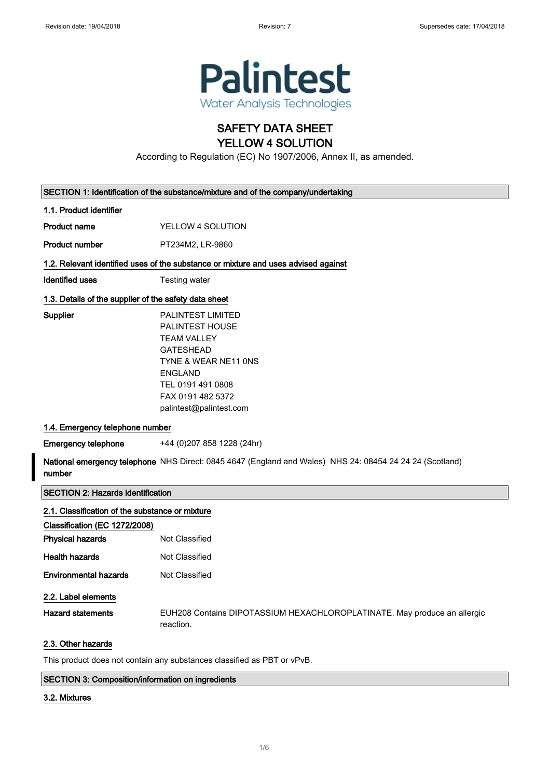

# SAFETY DATA SHEET YELLOW 4 SOLUTION

According to Regulation (EC) No 1907/2006, Annex II, as amended.

|                                                 | SECTION 1: Identification of the substance/mixture and of the company/undertaking                                                                                                                    |  |  |
|-------------------------------------------------|------------------------------------------------------------------------------------------------------------------------------------------------------------------------------------------------------|--|--|
| 1.1. Product identifier                         |                                                                                                                                                                                                      |  |  |
| <b>Product name</b>                             | YELLOW 4 SOLUTION                                                                                                                                                                                    |  |  |
| <b>Product number</b>                           | PT234M2, LR-9860                                                                                                                                                                                     |  |  |
|                                                 | 1.2. Relevant identified uses of the substance or mixture and uses advised against                                                                                                                   |  |  |
| <b>Identified uses</b>                          | Testing water                                                                                                                                                                                        |  |  |
|                                                 | 1.3. Details of the supplier of the safety data sheet                                                                                                                                                |  |  |
| Supplier                                        | <b>PALINTEST LIMITED</b><br>PALINTEST HOUSE<br><b>TEAM VALLEY</b><br><b>GATESHEAD</b><br>TYNE & WEAR NE11 ONS<br><b>ENGLAND</b><br>TEL 0191 491 0808<br>FAX 0191 482 5372<br>palintest@palintest.com |  |  |
| 1.4. Emergency telephone number                 |                                                                                                                                                                                                      |  |  |
| <b>Emergency telephone</b>                      | +44 (0)207 858 1228 (24hr)                                                                                                                                                                           |  |  |
| number                                          | National emergency telephone NHS Direct: 0845 4647 (England and Wales) NHS 24: 08454 24 24 24 (Scotland)                                                                                             |  |  |
| <b>SECTION 2: Hazards identification</b>        |                                                                                                                                                                                                      |  |  |
| 2.1. Classification of the substance or mixture |                                                                                                                                                                                                      |  |  |
| Classification (EC 1272/2008)                   |                                                                                                                                                                                                      |  |  |
| <b>Physical hazards</b>                         | Not Classified                                                                                                                                                                                       |  |  |
| <b>Health hazards</b>                           | Not Classified                                                                                                                                                                                       |  |  |
| <b>Environmental hazards</b>                    | Not Classified                                                                                                                                                                                       |  |  |
| 2.2. Label elements                             |                                                                                                                                                                                                      |  |  |
| <b>Hazard statements</b>                        | EUH208 Contains DIPOTASSIUM HEXACHLOROPLATINATE. May produce an allergic<br>reaction.                                                                                                                |  |  |
| 2.3. Other hazards                              |                                                                                                                                                                                                      |  |  |
|                                                 | This product does not contain any substances classified as PBT or vPvB.                                                                                                                              |  |  |

### SECTION 3: Composition/information on ingredients

### 3.2. Mixtures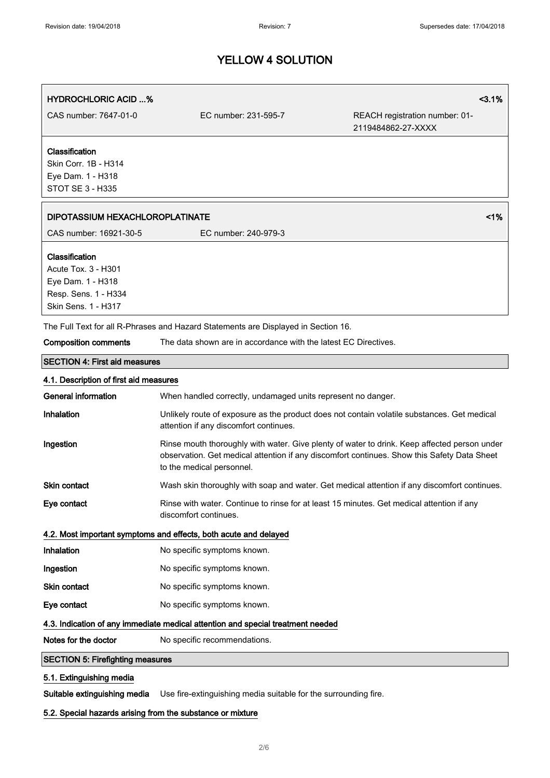| <b>HYDROCHLORIC ACID %</b>                                                                                |                                                                                    | 3.1%                                                                                                                                                                                        |
|-----------------------------------------------------------------------------------------------------------|------------------------------------------------------------------------------------|---------------------------------------------------------------------------------------------------------------------------------------------------------------------------------------------|
| CAS number: 7647-01-0                                                                                     | EC number: 231-595-7                                                               | REACH registration number: 01-<br>2119484862-27-XXXX                                                                                                                                        |
| Classification<br>Skin Corr. 1B - H314<br>Eye Dam. 1 - H318<br><b>STOT SE 3 - H335</b>                    |                                                                                    |                                                                                                                                                                                             |
| 1%<br>DIPOTASSIUM HEXACHLOROPLATINATE                                                                     |                                                                                    |                                                                                                                                                                                             |
| CAS number: 16921-30-5                                                                                    | EC number: 240-979-3                                                               |                                                                                                                                                                                             |
| Classification<br>Acute Tox. 3 - H301<br>Eye Dam. 1 - H318<br>Resp. Sens. 1 - H334<br>Skin Sens. 1 - H317 |                                                                                    |                                                                                                                                                                                             |
|                                                                                                           | The Full Text for all R-Phrases and Hazard Statements are Displayed in Section 16. |                                                                                                                                                                                             |
| <b>Composition comments</b>                                                                               | The data shown are in accordance with the latest EC Directives.                    |                                                                                                                                                                                             |
| <b>SECTION 4: First aid measures</b>                                                                      |                                                                                    |                                                                                                                                                                                             |
| 4.1. Description of first aid measures                                                                    |                                                                                    |                                                                                                                                                                                             |
| <b>General information</b>                                                                                | When handled correctly, undamaged units represent no danger.                       |                                                                                                                                                                                             |
| Inhalation                                                                                                | attention if any discomfort continues.                                             | Unlikely route of exposure as the product does not contain volatile substances. Get medical                                                                                                 |
| Ingestion                                                                                                 | to the medical personnel.                                                          | Rinse mouth thoroughly with water. Give plenty of water to drink. Keep affected person under<br>observation. Get medical attention if any discomfort continues. Show this Safety Data Sheet |
| Skin contact                                                                                              |                                                                                    | Wash skin thoroughly with soap and water. Get medical attention if any discomfort continues.                                                                                                |
| Eye contact                                                                                               | discomfort continues.                                                              | Rinse with water. Continue to rinse for at least 15 minutes. Get medical attention if any                                                                                                   |
| 4.2. Most important symptoms and effects, both acute and delayed                                          |                                                                                    |                                                                                                                                                                                             |
| Inhalation                                                                                                | No specific symptoms known.                                                        |                                                                                                                                                                                             |
| Ingestion                                                                                                 | No specific symptoms known.                                                        |                                                                                                                                                                                             |

Skin contact No specific symptoms known. Eye contact No specific symptoms known.

## 4.3. Indication of any immediate medical attention and special treatment needed

Notes for the doctor No specific recommendations.

# SECTION 5: Firefighting measures

# 5.1. Extinguishing media

Suitable extinguishing media Use fire-extinguishing media suitable for the surrounding fire.

## 5.2. Special hazards arising from the substance or mixture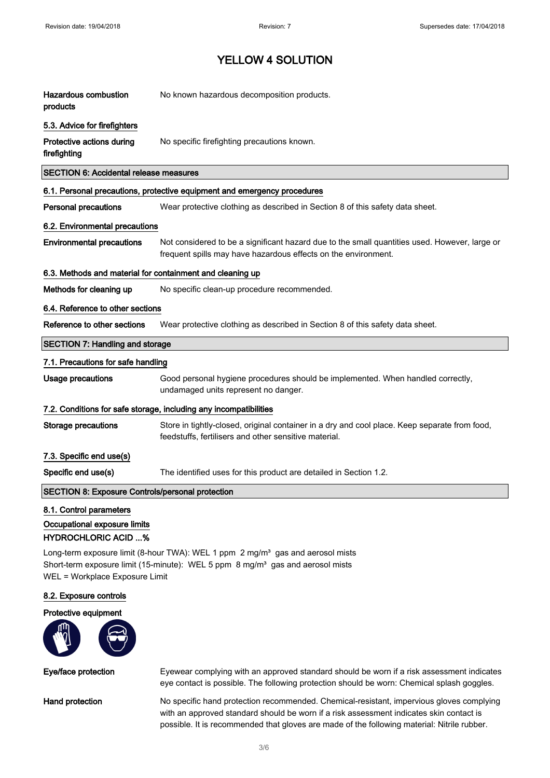| <b>Hazardous combustion</b><br>products                                                                                                                                                                                    | No known hazardous decomposition products.                                                                                                                      |  |  |
|----------------------------------------------------------------------------------------------------------------------------------------------------------------------------------------------------------------------------|-----------------------------------------------------------------------------------------------------------------------------------------------------------------|--|--|
| 5.3. Advice for firefighters                                                                                                                                                                                               |                                                                                                                                                                 |  |  |
| Protective actions during<br>firefighting                                                                                                                                                                                  | No specific firefighting precautions known.                                                                                                                     |  |  |
| <b>SECTION 6: Accidental release measures</b>                                                                                                                                                                              |                                                                                                                                                                 |  |  |
|                                                                                                                                                                                                                            | 6.1. Personal precautions, protective equipment and emergency procedures                                                                                        |  |  |
| <b>Personal precautions</b>                                                                                                                                                                                                | Wear protective clothing as described in Section 8 of this safety data sheet.                                                                                   |  |  |
| 6.2. Environmental precautions                                                                                                                                                                                             |                                                                                                                                                                 |  |  |
| <b>Environmental precautions</b>                                                                                                                                                                                           | Not considered to be a significant hazard due to the small quantities used. However, large or<br>frequent spills may have hazardous effects on the environment. |  |  |
| 6.3. Methods and material for containment and cleaning up                                                                                                                                                                  |                                                                                                                                                                 |  |  |
| Methods for cleaning up                                                                                                                                                                                                    | No specific clean-up procedure recommended.                                                                                                                     |  |  |
|                                                                                                                                                                                                                            | 6.4. Reference to other sections                                                                                                                                |  |  |
| Reference to other sections                                                                                                                                                                                                | Wear protective clothing as described in Section 8 of this safety data sheet.                                                                                   |  |  |
| <b>SECTION 7: Handling and storage</b>                                                                                                                                                                                     |                                                                                                                                                                 |  |  |
| 7.1. Precautions for safe handling                                                                                                                                                                                         |                                                                                                                                                                 |  |  |
| <b>Usage precautions</b>                                                                                                                                                                                                   | Good personal hygiene procedures should be implemented. When handled correctly,<br>undamaged units represent no danger.                                         |  |  |
|                                                                                                                                                                                                                            | 7.2. Conditions for safe storage, including any incompatibilities                                                                                               |  |  |
| <b>Storage precautions</b>                                                                                                                                                                                                 | Store in tightly-closed, original container in a dry and cool place. Keep separate from food,<br>feedstuffs, fertilisers and other sensitive material.          |  |  |
| 7.3. Specific end use(s)                                                                                                                                                                                                   |                                                                                                                                                                 |  |  |
| Specific end use(s)                                                                                                                                                                                                        | The identified uses for this product are detailed in Section 1.2.                                                                                               |  |  |
| <b>SECTION 8: Exposure Controls/personal protection</b>                                                                                                                                                                    |                                                                                                                                                                 |  |  |
| 8.1. Control parameters<br>Occupational exposure limits<br><b>HYDROCHLORIC ACID %</b>                                                                                                                                      |                                                                                                                                                                 |  |  |
| Long-term exposure limit (8-hour TWA): WEL 1 ppm 2 mg/m <sup>3</sup> gas and aerosol mists<br>Short-term exposure limit (15-minute): WEL 5 ppm 8 mg/m <sup>3</sup> gas and aerosol mists<br>WEL = Workplace Exposure Limit |                                                                                                                                                                 |  |  |
| 8.2. Exposure controls                                                                                                                                                                                                     |                                                                                                                                                                 |  |  |



Eye/face protection Eyewear complying with an approved standard should be worn if a risk assessment indicates eye contact is possible. The following protection should be worn: Chemical splash goggles.

Hand protection No specific hand protection recommended. Chemical-resistant, impervious gloves complying with an approved standard should be worn if a risk assessment indicates skin contact is possible. It is recommended that gloves are made of the following material: Nitrile rubber.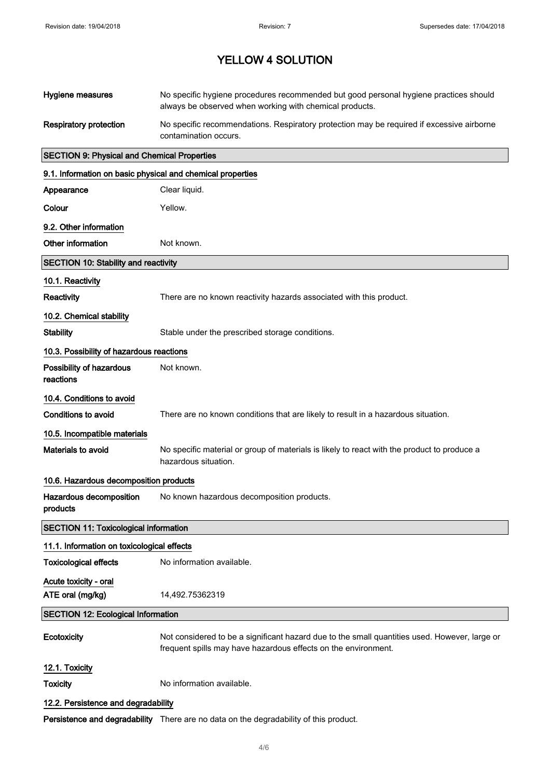| Hygiene measures                                           | No specific hygiene procedures recommended but good personal hygiene practices should<br>always be observed when working with chemical products.                |
|------------------------------------------------------------|-----------------------------------------------------------------------------------------------------------------------------------------------------------------|
| <b>Respiratory protection</b>                              | No specific recommendations. Respiratory protection may be required if excessive airborne<br>contamination occurs.                                              |
| <b>SECTION 9: Physical and Chemical Properties</b>         |                                                                                                                                                                 |
| 9.1. Information on basic physical and chemical properties |                                                                                                                                                                 |
| Appearance                                                 | Clear liquid.                                                                                                                                                   |
| Colour                                                     | Yellow.                                                                                                                                                         |
| 9.2. Other information                                     |                                                                                                                                                                 |
| Other information                                          | Not known.                                                                                                                                                      |
| <b>SECTION 10: Stability and reactivity</b>                |                                                                                                                                                                 |
| 10.1. Reactivity                                           |                                                                                                                                                                 |
| Reactivity                                                 | There are no known reactivity hazards associated with this product.                                                                                             |
| 10.2. Chemical stability                                   |                                                                                                                                                                 |
| <b>Stability</b>                                           | Stable under the prescribed storage conditions.                                                                                                                 |
| 10.3. Possibility of hazardous reactions                   |                                                                                                                                                                 |
| Possibility of hazardous<br>reactions                      | Not known.                                                                                                                                                      |
| 10.4. Conditions to avoid                                  |                                                                                                                                                                 |
| <b>Conditions to avoid</b>                                 | There are no known conditions that are likely to result in a hazardous situation.                                                                               |
| 10.5. Incompatible materials                               |                                                                                                                                                                 |
| Materials to avoid                                         | No specific material or group of materials is likely to react with the product to produce a<br>hazardous situation.                                             |
| 10.6. Hazardous decomposition products                     |                                                                                                                                                                 |
| Hazardous decomposition<br>products                        | No known hazardous decomposition products.                                                                                                                      |
| <b>SECTION 11: Toxicological information</b>               |                                                                                                                                                                 |
| 11.1. Information on toxicological effects                 |                                                                                                                                                                 |
| <b>Toxicological effects</b>                               | No information available.                                                                                                                                       |
| Acute toxicity - oral                                      |                                                                                                                                                                 |
| ATE oral (mg/kg)                                           | 14,492.75362319                                                                                                                                                 |
| <b>SECTION 12: Ecological Information</b>                  |                                                                                                                                                                 |
| Ecotoxicity                                                | Not considered to be a significant hazard due to the small quantities used. However, large or<br>frequent spills may have hazardous effects on the environment. |
| 12.1. Toxicity                                             |                                                                                                                                                                 |
| <b>Toxicity</b>                                            | No information available.                                                                                                                                       |
| 12.2. Persistence and degradability                        |                                                                                                                                                                 |
|                                                            | Persistence and degradability There are no data on the degradability of this product.                                                                           |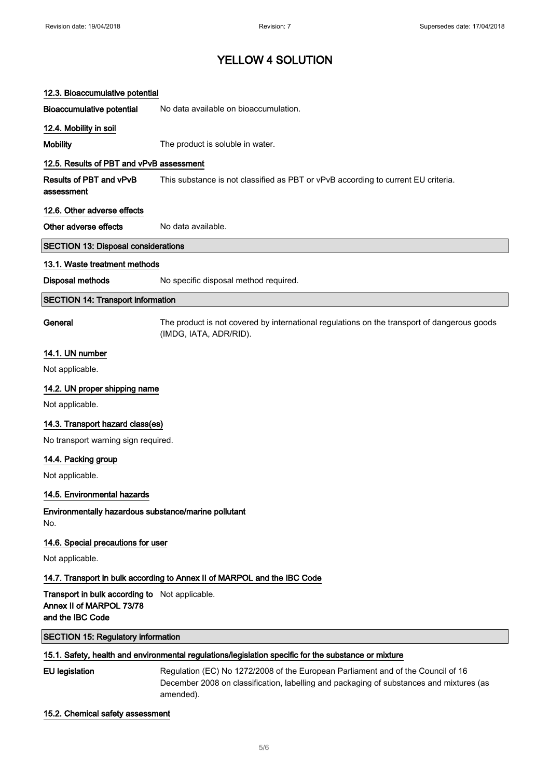| 12.3. Bioaccumulative potential                                                                      |                                                                                                                                                                                          |  |
|------------------------------------------------------------------------------------------------------|------------------------------------------------------------------------------------------------------------------------------------------------------------------------------------------|--|
| <b>Bioaccumulative potential</b>                                                                     | No data available on bioaccumulation.                                                                                                                                                    |  |
| 12.4. Mobility in soil                                                                               |                                                                                                                                                                                          |  |
| Mobility                                                                                             | The product is soluble in water.                                                                                                                                                         |  |
| 12.5. Results of PBT and vPvB assessment                                                             |                                                                                                                                                                                          |  |
| <b>Results of PBT and vPvB</b><br>assessment                                                         | This substance is not classified as PBT or vPvB according to current EU criteria.                                                                                                        |  |
| 12.6. Other adverse effects                                                                          |                                                                                                                                                                                          |  |
| Other adverse effects                                                                                | No data available.                                                                                                                                                                       |  |
| <b>SECTION 13: Disposal considerations</b>                                                           |                                                                                                                                                                                          |  |
| 13.1. Waste treatment methods                                                                        |                                                                                                                                                                                          |  |
| Disposal methods                                                                                     | No specific disposal method required.                                                                                                                                                    |  |
| <b>SECTION 14: Transport information</b>                                                             |                                                                                                                                                                                          |  |
| General                                                                                              | The product is not covered by international regulations on the transport of dangerous goods<br>(IMDG, IATA, ADR/RID).                                                                    |  |
| 14.1. UN number                                                                                      |                                                                                                                                                                                          |  |
| Not applicable.                                                                                      |                                                                                                                                                                                          |  |
| 14.2. UN proper shipping name                                                                        |                                                                                                                                                                                          |  |
| Not applicable.                                                                                      |                                                                                                                                                                                          |  |
| 14.3. Transport hazard class(es)                                                                     |                                                                                                                                                                                          |  |
| No transport warning sign required.                                                                  |                                                                                                                                                                                          |  |
| 14.4. Packing group                                                                                  |                                                                                                                                                                                          |  |
| Not applicable.                                                                                      |                                                                                                                                                                                          |  |
| 14.5. Environmental hazards                                                                          |                                                                                                                                                                                          |  |
| Environmentally hazardous substance/marine pollutant<br>No.                                          |                                                                                                                                                                                          |  |
| 14.6. Special precautions for user                                                                   |                                                                                                                                                                                          |  |
| Not applicable.                                                                                      |                                                                                                                                                                                          |  |
|                                                                                                      | 14.7. Transport in bulk according to Annex II of MARPOL and the IBC Code                                                                                                                 |  |
| Transport in bulk according to Not applicable.<br>Annex II of MARPOL 73/78<br>and the IBC Code       |                                                                                                                                                                                          |  |
| <b>SECTION 15: Regulatory information</b>                                                            |                                                                                                                                                                                          |  |
| 15.1. Safety, health and environmental regulations/legislation specific for the substance or mixture |                                                                                                                                                                                          |  |
| <b>EU</b> legislation                                                                                | Regulation (EC) No 1272/2008 of the European Parliament and of the Council of 16<br>December 2008 on classification, labelling and packaging of substances and mixtures (as<br>amended). |  |

# 15.2. Chemical safety assessment